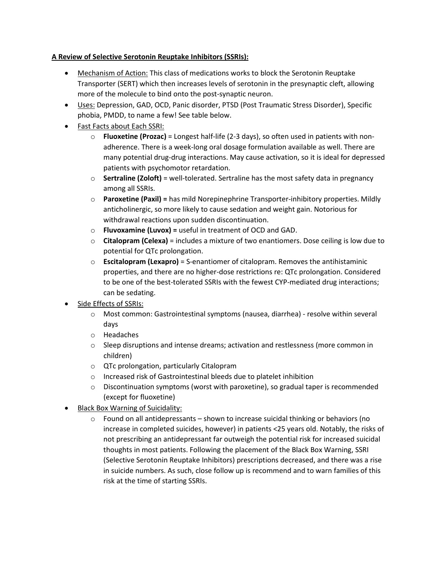## **A Review of Selective Serotonin Reuptake Inhibitors (SSRIs):**

- Mechanism of Action: This class of medications works to block the Serotonin Reuptake Transporter (SERT) which then increases levels of serotonin in the presynaptic cleft, allowing more of the molecule to bind onto the post-synaptic neuron.
- Uses: Depression, GAD, OCD, Panic disorder, PTSD (Post Traumatic Stress Disorder), Specific phobia, PMDD, to name a few! See table below.
- Fast Facts about Each SSRI:
	- o **Fluoxetine (Prozac)** = Longest half-life (2-3 days), so often used in patients with nonadherence. There is a week-long oral dosage formulation available as well. There are many potential drug-drug interactions. May cause activation, so it is ideal for depressed patients with psychomotor retardation.
	- o **Sertraline (Zoloft)** = well-tolerated. Sertraline has the most safety data in pregnancy among all SSRIs.
	- o **Paroxetine (Paxil) =** has mild Norepinephrine Transporter-inhibitory properties. Mildly anticholinergic, so more likely to cause sedation and weight gain. Notorious for withdrawal reactions upon sudden discontinuation.
	- o **Fluvoxamine (Luvox) =** useful in treatment of OCD and GAD.
	- o **Citalopram (Celexa)** = includes a mixture of two enantiomers. Dose ceiling is low due to potential for QTc prolongation.
	- o **Escitalopram (Lexapro)** = S-enantiomer of citalopram. Removes the antihistaminic properties, and there are no higher-dose restrictions re: QTc prolongation. Considered to be one of the best-tolerated SSRIs with the fewest CYP-mediated drug interactions; can be sedating.
- Side Effects of SSRIs:
	- o Most common: Gastrointestinal symptoms (nausea, diarrhea) resolve within several days
	- o Headaches
	- $\circ$  Sleep disruptions and intense dreams; activation and restlessness (more common in children)
	- o QTc prolongation, particularly Citalopram
	- o Increased risk of Gastrointestinal bleeds due to platelet inhibition
	- $\circ$  Discontinuation symptoms (worst with paroxetine), so gradual taper is recommended (except for fluoxetine)
- Black Box Warning of Suicidality:
	- $\circ$  Found on all antidepressants shown to increase suicidal thinking or behaviors (no increase in completed suicides, however) in patients <25 years old. Notably, the risks of not prescribing an antidepressant far outweigh the potential risk for increased suicidal thoughts in most patients. Following the placement of the Black Box Warning, SSRI (Selective Serotonin Reuptake Inhibitors) prescriptions decreased, and there was a rise in suicide numbers. As such, close follow up is recommend and to warn families of this risk at the time of starting SSRIs.